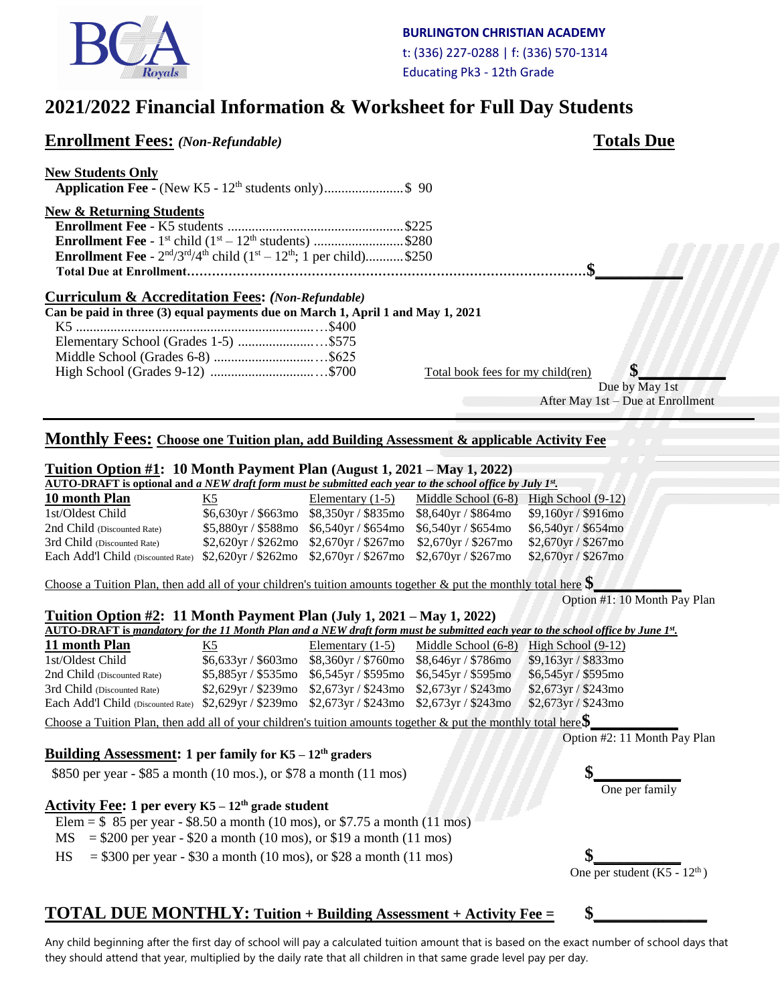

# **2021/2022 Financial Information & Worksheet for Full Day Students**

| <b>Enrollment Fees:</b> (Non-Refundable)                                                                                                                                                                                                                                                             |                         |                                                |                                                | <b>Totals Due</b>                                                                                                                                    |
|------------------------------------------------------------------------------------------------------------------------------------------------------------------------------------------------------------------------------------------------------------------------------------------------------|-------------------------|------------------------------------------------|------------------------------------------------|------------------------------------------------------------------------------------------------------------------------------------------------------|
| <b>New Students Only</b><br><b>Application Fee -</b> (New K5 - $12^{\text{th}}$ students only)\$ 90                                                                                                                                                                                                  |                         |                                                |                                                |                                                                                                                                                      |
| <b>New &amp; Returning Students</b><br><b>Enrollment Fee</b> - 1 <sup>st</sup> child $(1^{st} - 12^{th}$ students) \$280<br><b>Enrollment Fee</b> - $2^{nd}/3^{rd}/4^{th}$ child $(1^{st} - 12^{th}; 1 \text{ per child})$ \$250                                                                     |                         |                                                |                                                |                                                                                                                                                      |
| <b>Curriculum &amp; Accreditation Fees:</b> (Non-Refundable)                                                                                                                                                                                                                                         |                         |                                                |                                                |                                                                                                                                                      |
| Can be paid in three (3) equal payments due on March 1, April 1 and May 1, 2021                                                                                                                                                                                                                      |                         |                                                |                                                |                                                                                                                                                      |
|                                                                                                                                                                                                                                                                                                      |                         |                                                |                                                |                                                                                                                                                      |
|                                                                                                                                                                                                                                                                                                      |                         |                                                |                                                |                                                                                                                                                      |
|                                                                                                                                                                                                                                                                                                      |                         |                                                |                                                |                                                                                                                                                      |
|                                                                                                                                                                                                                                                                                                      |                         |                                                | Total book fees for my child(ren)              | \$                                                                                                                                                   |
|                                                                                                                                                                                                                                                                                                      |                         |                                                |                                                | Due by May 1st                                                                                                                                       |
|                                                                                                                                                                                                                                                                                                      |                         |                                                |                                                | After May 1st - Due at Enrollment                                                                                                                    |
| Monthly Fees: Choose one Tuition plan, add Building Assessment & applicable Activity Fee<br><b>Tuition Option #1: 10 Month Payment Plan</b> (August 1, 2021 – May 1, 2022)<br><b>AUTO-DRAFT</b> is optional and a NEW draft form must be submitted each year to the school office by July $I^{st}$ . |                         |                                                |                                                |                                                                                                                                                      |
|                                                                                                                                                                                                                                                                                                      |                         |                                                |                                                |                                                                                                                                                      |
|                                                                                                                                                                                                                                                                                                      |                         |                                                |                                                |                                                                                                                                                      |
| 10 month Plan                                                                                                                                                                                                                                                                                        | K5                      | Elementary $(1-5)$                             | Middle School (6-8)                            | High School $(9-12)$                                                                                                                                 |
| 1st/Oldest Child                                                                                                                                                                                                                                                                                     | $$6,630$ yr / \$663mo   | \$8,350yr / \$835mo                            | \$8,640yr / \$864mo                            | \$9,160yr / \$916mo                                                                                                                                  |
| 2nd Child (Discounted Rate)                                                                                                                                                                                                                                                                          | \$5,880yr / \$588mo     | \$6,540yr / \$654mo                            | \$6,540yr / \$654mo                            | \$6,540yr / \$654mo                                                                                                                                  |
| 3rd Child (Discounted Rate)                                                                                                                                                                                                                                                                          | \$2,620yr / \$262mo     | \$2,670yr / \$267mo                            | \$2,670yr / \$267mo                            | \$2,670yr / \$267mo                                                                                                                                  |
| Each Add'l Child (Discounted Rate) \$2,620yr / \$262mo<br>Choose a Tuition Plan, then add all of your children's tuition amounts together & put the monthly total here $\$\$                                                                                                                         |                         | $$2,670$ yr / $$267$ mo                        | \$2,670yr / \$267mo                            | \$2,670yr / \$267mo                                                                                                                                  |
|                                                                                                                                                                                                                                                                                                      |                         |                                                |                                                | Option #1: 10 Month Pay Plan                                                                                                                         |
| <b>Tuition Option <math>\#2</math>: 11 Month Payment Plan (July 1, 2021 – May 1, 2022)</b>                                                                                                                                                                                                           |                         |                                                |                                                |                                                                                                                                                      |
|                                                                                                                                                                                                                                                                                                      |                         |                                                |                                                | $\overline{\text{AUTO-DRAPT}}$ is mandatory for the 11 Month Plan and a NEW draft form must be submitted each year to the school office by June 1st. |
| 11 month Plan                                                                                                                                                                                                                                                                                        | K <sub>5</sub>          | Elementary $(1-5)$                             | Middle School (6-8) High School (9-12)         |                                                                                                                                                      |
| 1st/Oldest Child                                                                                                                                                                                                                                                                                     | $$6,633$ yr / $$603$ mo | \$8,360yr / \$760mo                            | \$8,646yr / \$786mo                            | \$9,163yr / \$833mo                                                                                                                                  |
| 2nd Child (Discounted Rate)                                                                                                                                                                                                                                                                          | $$5,885$ yr / $$535$ mo | $$6,545$ yr / \$595mo                          | \$6,545yr / \$595mo                            | \$6,545yr / \$595mo                                                                                                                                  |
| 3rd Child (Discounted Rate)<br>Each Add'l Child (Discounted Rate) \$2,629yr / \$239mo                                                                                                                                                                                                                | \$2,629yr / \$239mo     | $$2,673$ yr / \$243mo<br>$$2,673$ yr / \$243mo | $$2,673$ yr / \$243mo<br>$$2,673$ yr / \$243mo | \$2,673yr / \$243mo<br>\$2,673yr / \$243mo                                                                                                           |

Choose a Tuition Plan, then add all of your children's tuition amounts together & put the monthly total here \$

#### **Building Assessment: 1 per family for K5 – 12th graders**

\$850 per year - \$85 a month (10 mos.), or \$78 a month (11 mos)

#### **Activity Fee: 1 per every K5 – 12th grade student**

- Elem =  $$85$  per year  $$8.50$  a month (10 mos), or  $$7.75$  a month (11 mos)
- $MS = $200$  per year \$20 a month (10 mos), or \$19 a month (11 mos)
- $HS = $300$  per year  $$30$  a month (10 mos), or \$28 a month (11 mos)

Option #2: 11 Month Pay Plan

One per family

One per student  $(K5 - 12<sup>th</sup>)$ 

### **TOTAL DUE MONTHLY:** Tuition + Building Assessment + Activity Fee =  $\quad$  \$

Any child beginning after the first day of school will pay a calculated tuition amount that is based on the exact number of school days that they should attend that year, multiplied by the daily rate that all children in that same grade level pay per day.